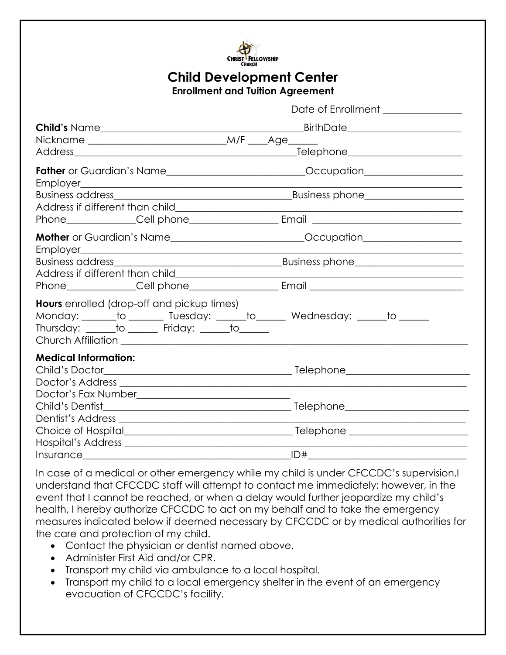

# **Child Development Center**

**Enrollment and Tuition Agreement**

|                                                                                                      | Date of Enrollment _____________                                                 |  |  |  |  |
|------------------------------------------------------------------------------------------------------|----------------------------------------------------------------------------------|--|--|--|--|
| <b>Child's Name</b>                                                                                  | <b>Example 2016</b> BirthDate                                                    |  |  |  |  |
|                                                                                                      |                                                                                  |  |  |  |  |
|                                                                                                      | _Telephone________________________                                               |  |  |  |  |
|                                                                                                      |                                                                                  |  |  |  |  |
|                                                                                                      |                                                                                  |  |  |  |  |
|                                                                                                      |                                                                                  |  |  |  |  |
|                                                                                                      |                                                                                  |  |  |  |  |
|                                                                                                      | Mother or Guardian's Name_____________________________Occupation________________ |  |  |  |  |
|                                                                                                      |                                                                                  |  |  |  |  |
|                                                                                                      |                                                                                  |  |  |  |  |
|                                                                                                      |                                                                                  |  |  |  |  |
| <b>Hours</b> enrolled (drop-off and pickup times)<br>Thursday: ______to ______ Friday: _____to _____ | Monday: ______ to _______ Tuesday: _____ to ______ Wednesday: _____ to ______    |  |  |  |  |
| <b>Medical Information:</b>                                                                          |                                                                                  |  |  |  |  |
|                                                                                                      |                                                                                  |  |  |  |  |
|                                                                                                      |                                                                                  |  |  |  |  |
|                                                                                                      |                                                                                  |  |  |  |  |
|                                                                                                      |                                                                                  |  |  |  |  |
|                                                                                                      |                                                                                  |  |  |  |  |
|                                                                                                      | ID#                                                                              |  |  |  |  |

In case of a medical or other emergency while my child is under CFCCDC's supervision,I understand that CFCCDC staff will attempt to contact me immediately; however, in the event that I cannot be reached, or when a delay would further jeopardize my child's health, I hereby authorize CFCCDC to act on my behalf and to take the emergency measures indicated below if deemed necessary by CFCCDC or by medical authorities for the care and protection of my child.

- Contact the physician or dentist named above.
- Administer First Aid and/or CPR.
- Transport my child via ambulance to a local hospital.
- Transport my child to a local emergency shelter in the event of an emergency evacuation of CFCCDC's facility.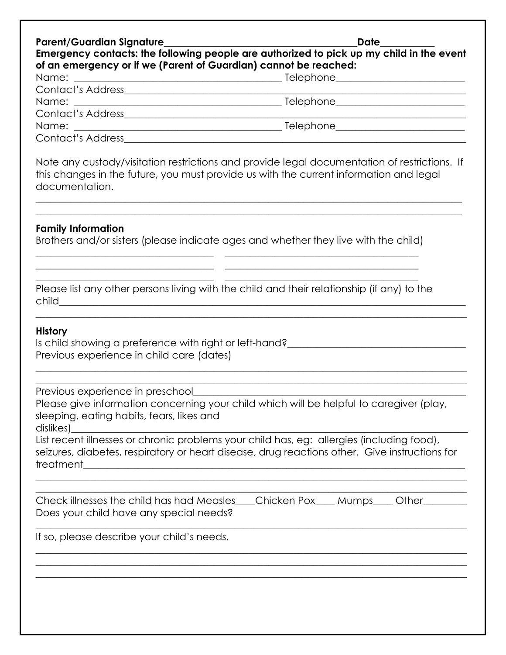| Emergency contacts: the following people are authorized to pick up my child in the event<br>of an emergency or if we (Parent of Guardian) cannot be reached: | Date ________ |
|--------------------------------------------------------------------------------------------------------------------------------------------------------------|---------------|
|                                                                                                                                                              |               |
|                                                                                                                                                              |               |
|                                                                                                                                                              |               |
|                                                                                                                                                              |               |
|                                                                                                                                                              |               |
|                                                                                                                                                              |               |
|                                                                                                                                                              |               |

Note any custody/visitation restrictions and provide legal documentation of restrictions. If this changes in the future, you must provide us with the current information and legal documentation.

 $\_$  , and the set of the set of the set of the set of the set of the set of the set of the set of the set of the set of the set of the set of the set of the set of the set of the set of the set of the set of the set of th  $\_$  , and the set of the set of the set of the set of the set of the set of the set of the set of the set of the set of the set of the set of the set of the set of the set of the set of the set of the set of the set of th

#### **Family Information**

Brothers and/or sisters (please indicate ages and whether they live with the child) \_\_\_\_\_\_\_\_\_\_\_\_\_\_\_\_\_\_\_\_\_\_\_\_\_\_\_\_\_\_\_\_\_\_\_\_ \_\_\_\_\_\_\_\_\_\_\_\_\_\_\_\_\_\_\_\_\_\_\_\_\_\_\_\_\_\_\_\_\_\_\_\_\_\_\_

\_\_\_\_\_\_\_\_\_\_\_\_\_\_\_\_\_\_\_\_\_\_\_\_\_\_\_\_\_\_\_\_\_\_\_\_ \_\_\_\_\_\_\_\_\_\_\_\_\_\_\_\_\_\_\_\_\_\_\_\_\_\_\_\_\_\_\_\_\_\_\_\_\_\_\_

|       | Please list any other persons living with the child and their relationship (if any) to the |  |  |  |  |
|-------|--------------------------------------------------------------------------------------------|--|--|--|--|
| child |                                                                                            |  |  |  |  |

 $\_$  , and the set of the set of the set of the set of the set of the set of the set of the set of the set of the set of the set of the set of the set of the set of the set of the set of the set of the set of the set of th

 $\_$  , and the set of the set of the set of the set of the set of the set of the set of the set of the set of the set of the set of the set of the set of the set of the set of the set of the set of the set of the set of th  $\_$  , and the set of the set of the set of the set of the set of the set of the set of the set of the set of the set of the set of the set of the set of the set of the set of the set of the set of the set of the set of th

#### **History**

Is child showing a preference with right or left-hand?\_\_\_\_\_\_\_\_\_\_\_\_\_\_\_\_\_\_\_\_\_\_\_\_\_\_\_\_\_\_\_\_\_\_\_\_ Previous experience in child care (dates)

Previous experience in preschool

Please give information concerning your child which will be helpful to caregiver (play, sleeping, eating habits, fears, likes and dislikes)\_\_\_\_\_\_\_\_\_\_\_\_\_\_\_\_\_\_\_\_\_\_\_\_\_\_\_\_\_\_\_\_\_\_\_\_\_\_\_\_\_\_\_\_\_\_\_\_\_\_\_\_\_\_\_\_\_\_\_\_\_\_\_\_\_\_\_\_\_\_\_\_\_\_\_\_\_\_\_\_

List recent illnesses or chronic problems your child has, eg: allergies (including food), seizures, diabetes, respiratory or heart disease, drug reactions other. Give instructions for treatment\_\_\_\_\_\_\_\_\_\_\_\_\_\_\_\_\_\_\_\_\_\_\_\_\_\_\_\_\_\_\_\_\_\_\_\_\_\_\_\_\_\_\_\_\_\_\_\_\_\_\_\_\_\_\_\_\_\_\_\_\_\_\_\_\_\_\_\_\_\_\_\_\_\_\_\_\_

 $\_$  , and the set of the set of the set of the set of the set of the set of the set of the set of the set of the set of the set of the set of the set of the set of the set of the set of the set of the set of the set of th  $\_$ 

 $\_$  , and the set of the set of the set of the set of the set of the set of the set of the set of the set of the set of the set of the set of the set of the set of the set of the set of the set of the set of the set of th

 $\_$  , and the set of the set of the set of the set of the set of the set of the set of the set of the set of the set of the set of the set of the set of the set of the set of the set of the set of the set of the set of th  $\_$  , and the set of the set of the set of the set of the set of the set of the set of the set of the set of the set of the set of the set of the set of the set of the set of the set of the set of the set of the set of th  $\_$  , and the set of the set of the set of the set of the set of the set of the set of the set of the set of the set of the set of the set of the set of the set of the set of the set of the set of the set of the set of th

| Check illnesses the child has had Measles Chicken Pox Mumps Chher |  |  |
|-------------------------------------------------------------------|--|--|
| Does your child have any special needs?                           |  |  |

If so, please describe your child's needs.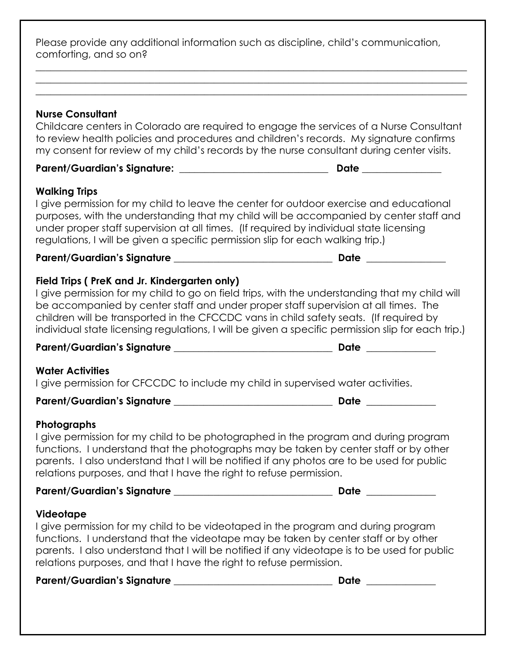Please provide any additional information such as discipline, child's communication, comforting, and so on?

 $\_$  , and the set of the set of the set of the set of the set of the set of the set of the set of the set of the set of the set of the set of the set of the set of the set of the set of the set of the set of the set of th  $\_$  , and the set of the set of the set of the set of the set of the set of the set of the set of the set of the set of the set of the set of the set of the set of the set of the set of the set of the set of the set of th  $\_$  , and the set of the set of the set of the set of the set of the set of the set of the set of the set of the set of the set of the set of the set of the set of the set of the set of the set of the set of the set of th

#### **Nurse Consultant**

Childcare centers in Colorado are required to engage the services of a Nurse Consultant to review health policies and procedures and children's records. My signature confirms my consent for review of my child's records by the nurse consultant during center visits.

## **Parent/Guardian's Signature: \_\_\_\_\_\_\_\_\_\_\_\_\_\_\_\_\_\_\_\_\_\_\_\_\_\_\_\_\_\_ Date \_\_\_\_\_\_\_\_\_\_\_\_\_\_\_\_**

#### **Walking Trips**

I give permission for my child to leave the center for outdoor exercise and educational purposes, with the understanding that my child will be accompanied by center staff and under proper staff supervision at all times. (If required by individual state licensing regulations, I will be given a specific permission slip for each walking trip.)

Parent/Guardian's Signature **Particle 2018** 

#### **Field Trips ( PreK and Jr. Kindergarten only)**

I give permission for my child to go on field trips, with the understanding that my child will be accompanied by center staff and under proper staff supervision at all times. The children will be transported in the CFCCDC vans in child safety seats. (If required by individual state licensing regulations, I will be given a specific permission slip for each trip.)

#### **Parent/Guardian's Signature \_\_\_\_\_\_\_\_\_\_\_\_\_\_\_\_\_\_\_\_\_\_\_\_\_\_\_\_\_\_\_\_ Date \_\_\_\_\_\_\_\_\_\_\_\_\_\_**

#### **Water Activities**

I give permission for CFCCDC to include my child in supervised water activities.

## **Parent/Guardian's Signature \_\_\_\_\_\_\_\_\_\_\_\_\_\_\_\_\_\_\_\_\_\_\_\_\_\_\_\_\_\_\_\_ Date \_\_\_\_\_\_\_\_\_\_\_\_\_\_**

#### **Photographs**

I give permission for my child to be photographed in the program and during program functions. I understand that the photographs may be taken by center staff or by other parents. I also understand that I will be notified if any photos are to be used for public relations purposes, and that I have the right to refuse permission.

**Parent/Guardian's Signature \_\_\_\_\_\_\_\_\_\_\_\_\_\_\_\_\_\_\_\_\_\_\_\_\_\_\_\_\_\_\_\_ Date \_\_\_\_\_\_\_\_\_\_\_\_\_\_** 

#### **Videotape**

I give permission for my child to be videotaped in the program and during program functions. I understand that the videotape may be taken by center staff or by other parents. I also understand that I will be notified if any videotape is to be used for public relations purposes, and that I have the right to refuse permission.

**Parent/Guardian's Signature \_\_\_\_\_\_\_\_\_\_\_\_\_\_\_\_\_\_\_\_\_\_\_\_\_\_\_\_\_\_\_\_ Date \_\_\_\_\_\_\_\_\_\_\_\_\_\_**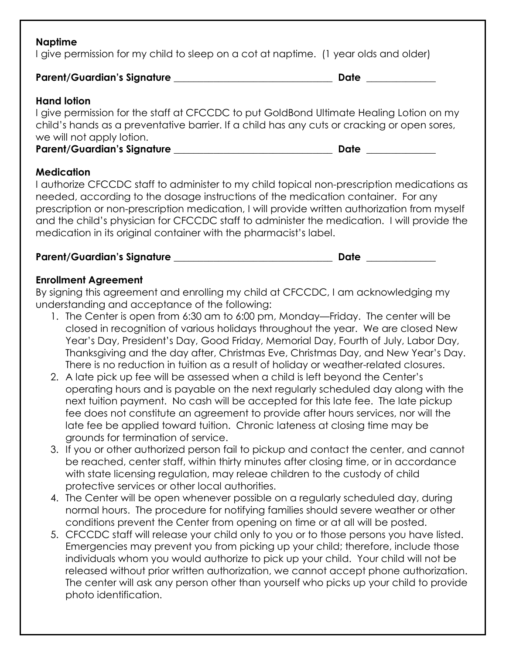#### **Naptime**

I give permission for my child to sleep on a cot at naptime. (1 year olds and older)

## Parent/Guardian's Signature **\_\_\_\_\_\_\_\_\_\_\_\_\_\_\_\_\_\_\_\_\_\_\_\_\_\_\_\_\_\_\_\_\_\_\_Date** \_\_\_\_\_\_\_\_\_\_\_\_

#### **Hand lotion**

I give permission for the staff at CFCCDC to put GoldBond Ultimate Healing Lotion on my child's hands as a preventative barrier. If a child has any cuts or cracking or open sores, we will not apply lotion.

#### **Medication**

I authorize CFCCDC staff to administer to my child topical non-prescription medications as needed, according to the dosage instructions of the medication container. For any prescription or non-prescription medication, I will provide written authorization from myself and the child's physician for CFCCDC staff to administer the medication. I will provide the medication in its original container with the pharmacist's label.

## **Parent/Guardian's Signature \_\_\_\_\_\_\_\_\_\_\_\_\_\_\_\_\_\_\_\_\_\_\_\_\_\_\_\_\_\_\_\_ Date \_\_\_\_\_\_\_\_\_\_\_\_\_\_**

#### **Enrollment Agreement**

By signing this agreement and enrolling my child at CFCCDC, I am acknowledging my understanding and acceptance of the following:

- 1. The Center is open from 6:30 am to 6:00 pm, Monday—Friday. The center will be closed in recognition of various holidays throughout the year. We are closed New Year's Day, President's Day, Good Friday, Memorial Day, Fourth of July, Labor Day, Thanksgiving and the day after, Christmas Eve, Christmas Day, and New Year's Day. There is no reduction in tuition as a result of holiday or weather-related closures.
- 2. A late pick up fee will be assessed when a child is left beyond the Center's operating hours and is payable on the next regularly scheduled day along with the next tuition payment. No cash will be accepted for this late fee. The late pickup fee does not constitute an agreement to provide after hours services, nor will the late fee be applied toward tuition. Chronic lateness at closing time may be grounds for termination of service.
- 3. If you or other authorized person fail to pickup and contact the center, and cannot be reached, center staff, within thirty minutes after closing time, or in accordance with state licensing regulation, may releae children to the custody of child protective services or other local authorities.
- 4. The Center will be open whenever possible on a regularly scheduled day, during normal hours. The procedure for notifying families should severe weather or other conditions prevent the Center from opening on time or at all will be posted.
- 5. CFCCDC staff will release your child only to you or to those persons you have listed. Emergencies may prevent you from picking up your child; therefore, include those individuals whom you would authorize to pick up your child. Your child will not be released without prior written authorization, we cannot accept phone authorization. The center will ask any person other than yourself who picks up your child to provide photo identification.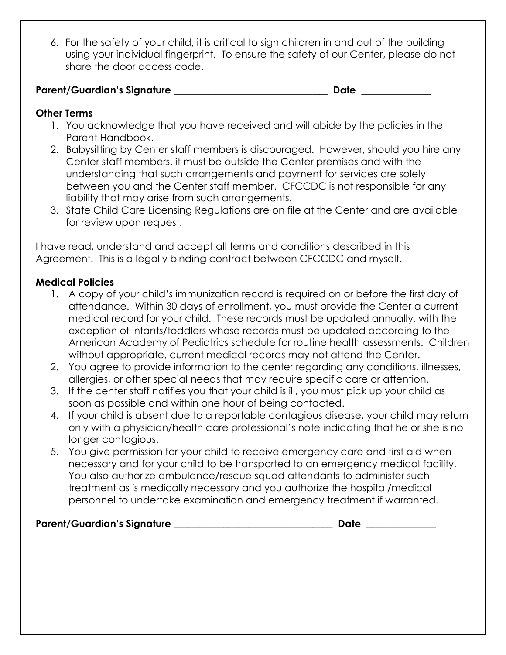6. For the safety of your child, it is critical to sign children in and out of the building using your individual fingerprint. To ensure the safety of our Center, please do not share the door access code.

**Parent/Guardian's Signature \_\_\_\_\_\_\_\_\_\_\_\_\_\_\_\_\_\_\_\_\_\_\_\_\_\_\_\_\_\_\_ Date \_\_\_\_\_\_\_\_\_\_\_\_\_\_** 

## **Other Terms**

- 1. You acknowledge that you have received and will abide by the policies in the Parent Handbook.
- 2. Babysitting by Center staff members is discouraged. However, should you hire any Center staff members, it must be outside the Center premises and with the understanding that such arrangements and payment for services are solely between you and the Center staff member. CFCCDC is not responsible for any liability that may arise from such arrangements.
- 3. State Child Care Licensing Regulations are on file at the Center and are available for review upon request.

I have read, understand and accept all terms and conditions described in this Agreement. This is a legally binding contract between CFCCDC and myself.

## **Medical Policies**

- 1. A copy of your child's immunization record is required on or before the first day of attendance. Within 30 days of enrollment, you must provide the Center a current medical record for your child. These records must be updated annually, with the exception of infants/toddlers whose records must be updated according to the American Academy of Pediatrics schedule for routine health assessments. Children without appropriate, current medical records may not attend the Center.
- 2. You agree to provide information to the center regarding any conditions, illnesses, allergies, or other special needs that may require specific care or attention.
- 3. If the center staff notifies you that your child is ill, you must pick up your child as soon as possible and within one hour of being contacted.
- 4. If your child is absent due to a reportable contagious disease, your child may return only with a physician/health care professional's note indicating that he or she is no longer contagious.
- 5. You give permission for your child to receive emergency care and first aid when necessary and for your child to be transported to an emergency medical facility. You also authorize ambulance/rescue squad attendants to administer such treatment as is medically necessary and you authorize the hospital/medical personnel to undertake examination and emergency treatment if warranted.

#### **Parent/Guardian's Signature \_\_\_\_\_\_\_\_\_\_\_\_\_\_\_\_\_\_\_\_\_\_\_\_\_\_\_\_\_\_\_\_ Date \_\_\_\_\_\_\_\_\_\_\_\_\_\_**